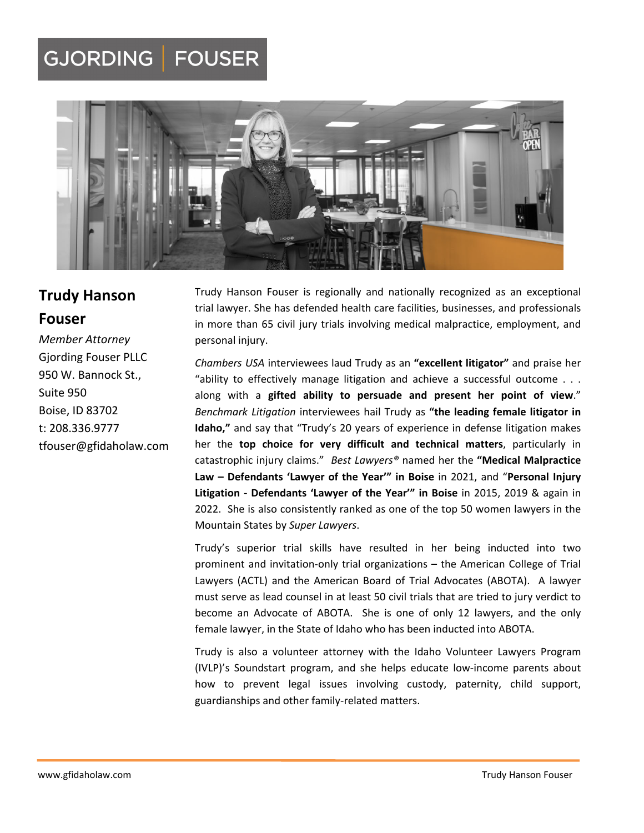## GJORDING | FOUSER



# **Trudy Hanson**

### **Fouser**

*Member Attorney* Gjording Fouser PLLC 950 W. Bannock St., Suite 950 Boise, ID 83702 t: 208.336.9777 tfouser@gfidaholaw.com

Trudy Hanson Fouser is regionally and nationally recognized as an exceptional trial lawyer. She has defended health care facilities, businesses, and professionals in more than 65 civil jury trials involving medical malpractice, employment, and personal injury.

*Chambers USA* interviewees laud Trudy as an **"excellent litigator"** and praise her "ability to effectively manage litigation and achieve a successful outcome . . . along with a **gifted ability to persuade and present her point of view**." *Benchmark Litigation* interviewees hail Trudy as **"the leading female litigator in Idaho,"** and say that "Trudy's 20 years of experience in defense litigation makes her the **top choice for very difficult and technical matters**, particularly in catastrophic injury claims." *Best Lawyers®* named her the **"Medical Malpractice Law – Defendants 'Lawyer of the Year'" in Boise** in 2021, and "**Personal Injury Litigation ‐ Defendants 'Lawyer of the Year'" in Boise** in 2015, 2019 & again in 2022. She is also consistently ranked as one of the top 50 women lawyers in the Mountain States by *Super Lawyers*.

Trudy's superior trial skills have resulted in her being inducted into two prominent and invitation‐only trial organizations – the American College of Trial Lawyers (ACTL) and the American Board of Trial Advocates (ABOTA). A lawyer must serve as lead counsel in at least 50 civil trials that are tried to jury verdict to become an Advocate of ABOTA. She is one of only 12 lawyers, and the only female lawyer, in the State of Idaho who has been inducted into ABOTA.

Trudy is also a volunteer attorney with the Idaho Volunteer Lawyers Program (IVLP)'s Soundstart program, and she helps educate low‐income parents about how to prevent legal issues involving custody, paternity, child support, guardianships and other family‐related matters.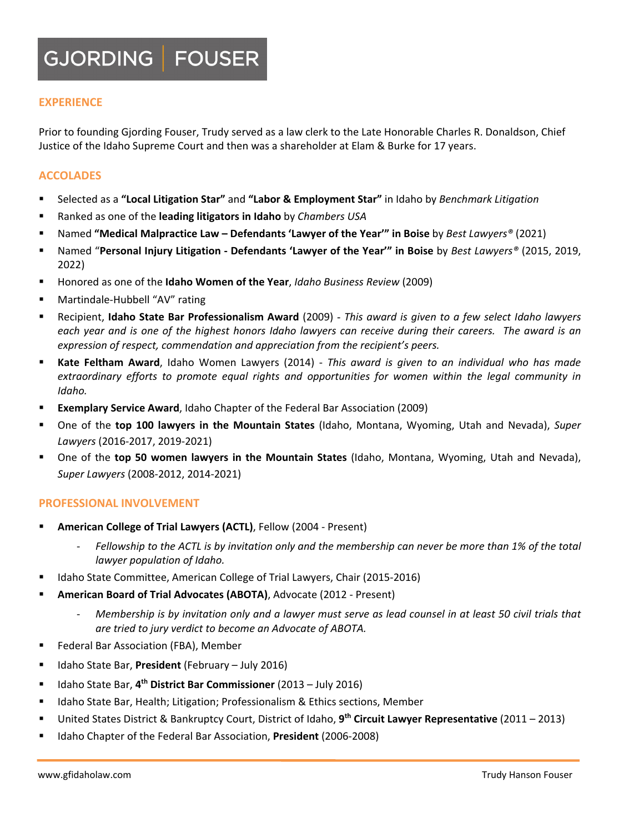### GJORDING | FOUSER

#### **EXPERIENCE**

Prior to founding Gjording Fouser, Trudy served as a law clerk to the Late Honorable Charles R. Donaldson, Chief Justice of the Idaho Supreme Court and then was a shareholder at Elam & Burke for 17 years.

#### **ACCOLADES**

- Selected as a **"Local Litigation Star"** and **"Labor & Employment Star"** in Idaho by *Benchmark Litigation*
- Ranked as one of the **leading litigators in Idaho** by *Chambers USA*
- Named **"Medical Malpractice Law – Defendants 'Lawyer of the Year'" in Boise** by *Best Lawyers®* (2021)
- Named "**Personal Injury Litigation ‐ Defendants 'Lawyer of the Year'" in Boise** by *Best Lawyers®* (2015, 2019, 2022)
- Honored as one of the **Idaho Women of the Year**, *Idaho Business Review* (2009)
- Martindale‐Hubbell "AV" rating
- Recipient, **Idaho State Bar Professionalism Award** (2009) *This award is given to a few select Idaho lawyers* each year and is one of the highest honors Idaho lawyers can receive during their careers. The award is an *expression of respect, commendation and appreciation from the recipient's peers.*
- **Kate Feltham Award**, Idaho Women Lawyers (2014) ‐ *This award is given to an individual who has made extraordinary efforts to promote equal rights and opportunities for women within the legal community in Idaho.*
- **Exemplary Service Award**, Idaho Chapter of the Federal Bar Association (2009)
- One of the **top 100 lawyers in the Mountain States** (Idaho, Montana, Wyoming, Utah and Nevada), *Super Lawyers* (2016‐2017, 2019‐2021)
- One of the **top 50 women lawyers in the Mountain States** (Idaho, Montana, Wyoming, Utah and Nevada), *Super Lawyers* (2008‐2012, 2014‐2021)

#### **PROFESSIONAL INVOLVEMENT**

- **American College of Trial Lawyers (ACTL)**, Fellow (2004 ‐ Present)
	- Fellowship to the ACTL is by invitation only and the membership can never be more than 1% of the total *lawyer population of Idaho.*
- Idaho State Committee, American College of Trial Lawyers, Chair (2015‐2016)
- **American Board of Trial Advocates (ABOTA)**, Advocate (2012 ‐ Present)
	- Membership is by invitation only and a lawyer must serve as lead counsel in at least 50 civil trials that *are tried to jury verdict to become an Advocate of ABOTA.*
- **Federal Bar Association (FBA), Member**
- **IDARIA:** Idaho State Bar, President (February July 2016)
- Idaho State Bar, **4th District Bar Commissioner** (2013 July 2016)
- Idaho State Bar, Health; Litigation; Professionalism & Ethics sections, Member
- United States District & Bankruptcy Court, District of Idaho, **9th Circuit Lawyer Representative** (2011 2013)
- Idaho Chapter of the Federal Bar Association, **President** (2006‐2008)